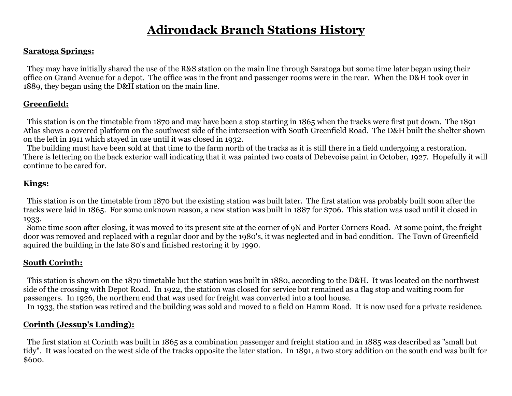# **Adirondack Branch Stations History**

#### **Saratoga Springs:**

 They may have initially shared the use of the R&S station on the main line through Saratoga but some time later began using their office on Grand Avenue for a depot. The office was in the front and passenger rooms were in the rear. When the D&H took over in 1889, they began using the D&H station on the main line.

## **Greenfield:**

 This station is on the timetable from 1870 and may have been a stop starting in 1865 when the tracks were first put down. The 1891 Atlas shows a covered platform on the southwest side of the intersection with South Greenfield Road. The D&H built the shelter shown on the left in 1911 which stayed in use until it was closed in 1932.

 The building must have been sold at that time to the farm north of the tracks as it is still there in a field undergoing a restoration. There is lettering on the back exterior wall indicating that it was painted two coats of Debevoise paint in October, 1927. Hopefully it will continue to be cared for.

## **Kings:**

 This station is on the timetable from 1870 but the existing station was built later. The first station was probably built soon after the tracks were laid in 1865. For some unknown reason, a new station was built in 1887 for \$706. This station was used until it closed in 1933.

 Some time soon after closing, it was moved to its present site at the corner of 9N and Porter Corners Road. At some point, the freight door was removed and replaced with a regular door and by the 1980's, it was neglected and in bad condition. The Town of Greenfield aquired the building in the late 80's and finished restoring it by 1990.

## **South Corinth:**

 This station is shown on the 1870 timetable but the station was built in 1880, according to the D&H. It was located on the northwest side of the crossing with Depot Road. In 1922, the station was closed for service but remained as a flag stop and waiting room for passengers. In 1926, the northern end that was used for freight was converted into a tool house. In 1933, the station was retired and the building was sold and moved to a field on Hamm Road. It is now used for a private residence.

### **Corinth (Jessup's Landing):**

 The first station at Corinth was built in 1865 as a combination passenger and freight station and in 1885 was described as "small but tidy". It was located on the west side of the tracks opposite the later station. In 1891, a two story addition on the south end was built for \$600.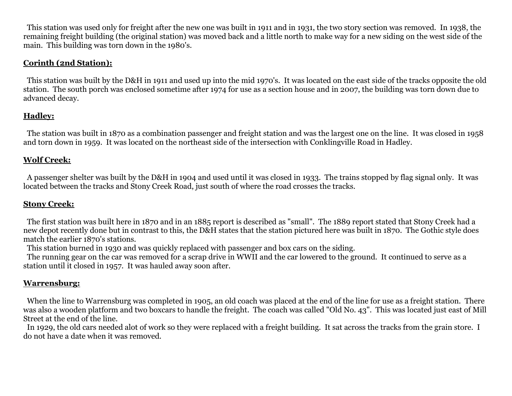This station was used only for freight after the new one was built in 1911 and in 1931, the two story section was removed. In 1938, the remaining freight building (the original station) was moved back and a little north to make way for a new siding on the west side of the main. This building was torn down in the 1980's.

### **Corinth (2nd Station):**

 This station was built by the D&H in 1911 and used up into the mid 1970's. It was located on the east side of the tracks opposite the old station. The south porch was enclosed sometime after 1974 for use as a section house and in 2007, the building was torn down due to advanced decay.

## **Hadley:**

 The station was built in 1870 as a combination passenger and freight station and was the largest one on the line. It was closed in 1958 and torn down in 1959. It was located on the northeast side of the intersection with Conklingville Road in Hadley.

#### **Wolf Creek:**

 A passenger shelter was built by the D&H in 1904 and used until it was closed in 1933. The trains stopped by flag signal only. It was located between the tracks and Stony Creek Road, just south of where the road crosses the tracks.

### **Stony Creek:**

 The first station was built here in 1870 and in an 1885 report is described as "small". The 1889 report stated that Stony Creek had a new depot recently done but in contrast to this, the D&H states that the station pictured here was built in 1870. The Gothic style does match the earlier 1870's stations.

This station burned in 1930 and was quickly replaced with passenger and box cars on the siding.

 The running gear on the car was removed for a scrap drive in WWII and the car lowered to the ground. It continued to serve as a station until it closed in 1957. It was hauled away soon after.

### **Warrensburg:**

 When the line to Warrensburg was completed in 1905, an old coach was placed at the end of the line for use as a freight station. There was also a wooden platform and two boxcars to handle the freight. The coach was called "Old No. 43". This was located just east of Mill Street at the end of the line.

 In 1929, the old cars needed alot of work so they were replaced with a freight building. It sat across the tracks from the grain store. I do not have a date when it was removed.